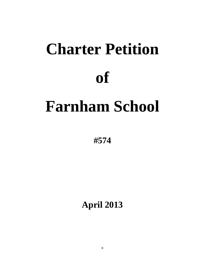# **Charter Petition of Farnham School**

**#574**

**April 2013**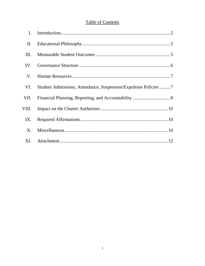# **Table of Contents**

| I.    |                                                                 |  |
|-------|-----------------------------------------------------------------|--|
| П.    |                                                                 |  |
| Ш.    |                                                                 |  |
| IV.   |                                                                 |  |
| V.    |                                                                 |  |
| VI.   | Student Admissions, Attendance, Suspension/Expulsion Policies 7 |  |
| VII.  |                                                                 |  |
| VIII. |                                                                 |  |
| IX.   |                                                                 |  |
| X.    |                                                                 |  |
| XI.   |                                                                 |  |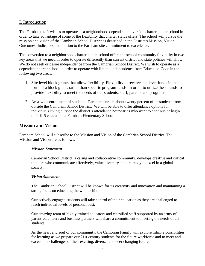## I. Introduction

The Farnham staff wishes to operate as a neighborhood dependent conversion charter public school in order to take advantage of some of the flexibility that charter status offers. The school will pursue the mission and vision of the Cambrian School District as described in the District's Mission, Vision, Outcomes, Indicators, in addition to the Farnham site commitment to excellence.

The conversion to a neighborhood charter public school offers the school community flexibility in two key areas that we need in order to operate differently than current district and state policies will allow. We do not seek or desire independence from the Cambrian School District. We wish to operate as a dependent charter school in order to operate with limited independence from Education Code in the following two areas:

- 1. Site level block grants that allow flexibility. Flexibility to receive site level funds in the form of a block grant, rather than specific program funds, in order to utilize these funds to provide flexibility to meet the needs of our students, staff, parents and programs.
- 2. Area-wide enrollment of students. Farnham enrolls about twenty percent of its students from outside the Cambrian School District. We will be able to offer attendance options for individuals living outside the district's attendance boundaries who want to continue or begin their K-5 education at Farnham Elementary School.

## **Mission and Vision**

Farnham School will subscribe to the Mission and Vision of the Cambrian School District. The Mission and Vision are as follows:

#### *Mission Statement*

Cambrian School District, a caring and collaborative community, develops creative and critical thinkers who communicate effectively, value diversity and are ready to excel in a global society.

#### *Vision Statement*

The Cambrian School District will be known for its creativity and innovation and maintaining a strong focus on educating the whole child.

Our actively engaged students will take control of their education as they are challenged to reach individual levels of personal best.

Our amazing team of highly trained educators and classified staff supported by an army of parent volunteers and business partners will share a commitment to meeting the needs of all students.

As the heart and soul of our community, the Cambrian Family will explore infinite possibilities for learning as we prepare our 21st century students for the future workforce and to meet and exceed the challenges of their exciting, diverse, and ever changing future.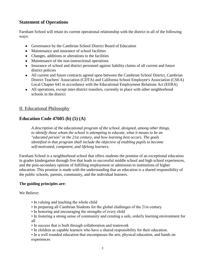## **Statement of Operations**

Farnham School will retain its current operational relationship with the district in all of the following ways:

- Governance by the Cambrian School District Board of Education
- Maintenance and insurance of school facilities
- Changes, additions or alterations to the facilities
- Maintenance of the non-instructional operations
- Insurance of school and district personnel against liability claims of all current and future district policies
- All current and future contracts agreed upon between the Cambrian School District, Cambrian District Teachers' Association (CDTA) and California School Employee's Association (CSEA) Local Chapter 641 in accordance with the Educational Employment Relations Act (EERA)
- All operations, except inter-district transfers, currently in place with other neighborhood schools in the district

## II. Educational Philosophy

## **Education Code 47605 (b) (5) (A)**

*A description of the educational program of the school, designed, among other things, to identify those whom the school is attempting to educate, what it means to be an "educated person" in the 21st century, and how learning best occurs. The goals identified in that program shall include the objective of enabling pupils to become self-motivated, competent, and lifelong learners.*

Farnham School is a neighborhood school that offers students the promise of an exceptional education in grades kindergarten through five that leads to successful middle school and high school experiences, and the post-secondary options of fulfilling employment or admission to institutions of higher education. This promise is made with the understanding that an education is a shared responsibility of the public schools, parents, community, and the individual learners.

#### **The guiding principles are:**

We Believe:

- In valuing and teaching the whole child
- In preparing all Cambrian Students for the global challenges of the 21st century
- In honoring and encouraging the strengths of every child
- In fostering a strong sense of community and creating a safe, orderly learning environment for all
- In success that is built through collaboration and teamwork
- In children as capable learners who have a shared responsibility for their education.
- In a well rounded education that encompasses the arts, physical education, and hands on experiences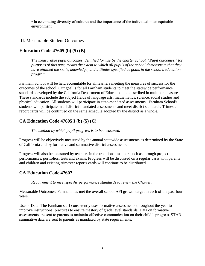• In celebrating diversity of cultures and the importance of the individual in an equitable environment

## III. Measurable Student Outcomes

## **Education Code 47605 (b) (5) (B)**

*The measurable pupil outcomes identified for use by the charter school. "Pupil outcomes," for purposes of this part, means the extent to which all pupils of the school demonstrate that they have attained the skills, knowledge, and attitudes specified as goals in the school's education program.*

Farnham School will be held accountable for all learners meeting the measures of success for the outcomes of the school. Our goal is for all Farnham students to meet the statewide performance standards developed by the California Department of Education and described in multiple measures. These standards include the subject fields of language arts, mathematics, science, social studies and physical education. All students will participate in state-mandated assessments. Farnham School's students will participate in all district-mandated assessments and meet district standards. Trimester report cards will be continued on the same schedule adopted by the district as a whole.

# **CA Education Code 47605 I (b) (5) (C)**

#### *The method by which pupil progress is to be measured.*

Progress will be objectively measured by the annual statewide assessments as determined by the State of California and by formative and summative district assessments.

Progress will also be measured by teachers in the traditional manner, such as through project performances, portfolios, tests and exams. Progress will be discussed on a regular basis with parents and children and existing trimester reports cards will continue to be distributed.

## **CA Education Code 47607**

*Requirement to meet specific performance standards to renew the Charter.*

Measurable Outcomes: Farnham has met the overall school API growth target in each of the past four years.

Use of Data: The Farnham staff consistently uses formative assessments throughout the year to improve instructional practices to ensure mastery of grade level standards. Data on formative assessments are sent to parents to maintain effective communication on their child's progress. STAR summative data are sent to parents as mandated by state requirements.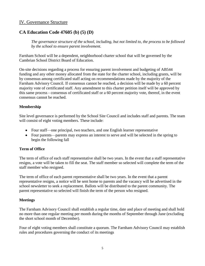## IV. Governance Structure

## **CA Education Code 47605 (b) (5) (D)**

*The governance structure of the school, including, but not limited to, the process to be followed by the school to ensure parent involvement.*

Farnham School will be a dependent, neighborhood charter school that will be governed by the Cambrian School District Board of Education.

On-site decisions regarding a process for ensuring parent involvement and budgeting of AB544 funding and any other money allocated from the state for the charter school, including grants, will be by consensus among certificated staff acting on recommendations made by the majority of the Farnham Advisory Council. If consensus cannot be reached, a decision will be made by a 60 percent majority vote of certificated staff. Any amendment to this charter petition itself will be approved by this same process - consensus of certificated staff or a 60 percent majority vote, thereof, in the event consensus cannot be reached.

#### **Membership**

Site level governance is performed by the School Site Council and includes staff and parents. The team will consist of eight voting members. These include:

- Four staff—one principal, two teachers, and one English learner representative
- Four parents—parents may express an interest to serve and will be selected in the spring to begin the following fall

#### **Term of Office**

The term of office of each staff representative shall be two years. In the event that a staff representative resigns, a vote will be taken to fill the seat. The staff member so selected will complete the term of the staff member who resigned.

The term of office of each parent representative shall be two years. In the event that a parent representative resigns, a notice will be sent home to parents and the vacancy will be advertised in the school newsletter to seek a replacement. Ballots will be distributed to the parent community. The parent representative so selected will finish the term of the person who resigned.

#### **Meetings**

The Farnham Advisory Council shall establish a regular time, date and place of meeting and shall hold no more than one regular meeting per month during the months of September through June (excluding the short school month of December).

Four of eight voting members shall constitute a quorum. The Farnham Advisory Council may establish rules and procedures governing the conduct of its meetings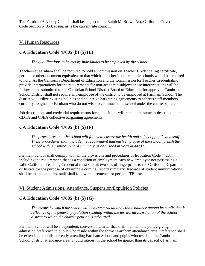The Farnham Advisory Council shall be subject to the Ralph M. Brown Act, California Government Code Section 54950, et seq. as is the current site council.

## V. Human Resources

# **CA Education Code 47605 (b) (5) (E)**

*The qualifications to be met by individuals to be employed by the school.*

Teachers at Farnham shall be required to hold a Commission on Teacher Credentialing certificate, permit, or other document equivalent to that which a teacher in other public schools would be required to hold. As the California Department of Education and the Commission for Teacher Credentialing provide interpretations for the requirements for non-academic subjects those interpretations will be followed and submitted to the Cambrian School District Board of Education for approval. Cambrian School District shall not require any employee of the district to be employed at Farnham School. The district will utilize existing policies and collective bargaining agreements to address staff members currently assigned to Farnham who do not wish to continue at the school under the charter status.

Job descriptions and credential requirements for all positions will remain the same as described in the CDTA and CSEA collective bargaining agreements.

# **CA Education Code 47605 (b) (5) (F)**

*The procedures that the school will follow to ensure the health and safety of pupils and staff. These procedures shall include the requirement that each employee of the school furnish the school with a criminal record summary as described in Section 44237.*

Farnham School shall comply with all the provisions and procedures of Education Code 44237, including the requirement, that as a condition of employment each new employee not possessing a valid California Teaching Credential must submit two sets of fingerprints to the California Department of Justice for the purpose of obtaining a criminal record summary. Records of student immunizations shall be maintained, and staff shall follow requirements for periodic TB tests.

## VI. Student Admissions, Attendance, Suspension/Expulsion Policies

# **CA Education Code 47605 (b) (5) (G)**

*The means by which the school will achieve a racial and ethnic balance among its pupils that is reflective of the general population residing within the territorial jurisdiction of the school district to which the charter petition is submitted.*

Farnham School will be a dependent, conversion charter that shall maintain the policy giving admission preference to pupils who reside within the former Farnham attendance area. Preference shall be extended to pupils currently attending Farnham School and pupils who reside in the Cambrian School District attendance area. Should interest in the school be greater than its capacity, Farnham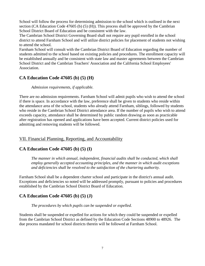School will follow the process for determining admission to the school which is outlined in the next section (CA Education Code 47605 (b) (5) (H)). This process shall be approved by the Cambrian School District Board of Education and be consistent with the law.

The Cambrian School District Governing Board shall not require any pupil enrolled in the school district to attend Farnham School and will utilize district policies for placement of students not wishing to attend the school.

Farnham School will consult with the Cambrian District Board of Education regarding the number of students admitted to the school based on existing policies and procedures. The enrollment capacity will be established annually and be consistent with state law and master agreements between the Cambrian School District and the Cambrian Teachers' Association and the California School Employees' Association.

# **CA Education Code 47605 (b) (5) (H)**

#### *Admission requirements, if applicable.*

There are no admission requirements. Farnham School will admit pupils who wish to attend the school if there is space. In accordance with the law, preference shall be given to students who reside within the attendance area of the school, students who already attend Farnham, siblings, followed by students who reside in the Cambrian School District attendance area. If the number of pupils who wish to attend exceeds capacity, attendance shall be determined by public random drawing as soon as practicable after registration has opened and applications have been accepted. Current district policies used for admitting and removing students will be followed.

## VII. Financial Planning, Reporting, and Accountability

# **CA Education Code 47605 (b) (5) (I)**

*The manner in which annual, independent, financial audits shall be conducted, which shall employ generally accepted accounting principles, and the manner in which audit exceptions and deficiencies shall be resolved to the satisfaction of the chartering authority.*

Farnham School shall be a dependent charter school and participate in the district's annual audit. Exceptions and deficiencies so noted will be addressed promptly, pursuant to policies and procedures established by the Cambrian School District Board of Education.

# **CA Education Code 47605 (b) (5) (J)**

#### *The procedures by which pupils can be suspended or expelled.*

Students shall be suspended or expelled for actions for which they could be suspended or expelled from the Cambrian School District as defined by the Education Code Sections 48900 to 48926. The due process mandated for school districts therein will be followed at Farnham School.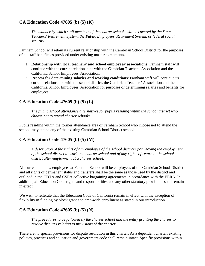## **CA Education Code 47605 (b) (5) (K)**

*The manner by which staff members of the charter schools will be covered by the State Teachers' Retirement System, the Public Employees' Retirement System, or federal social security.*

Farnham School will retain its current relationship with the Cambrian School District for the purposes of all staff benefits as provided under existing master agreements.

- 1. **Relationship with local teachers' and school employees' associations**: Farnham staff will continue with the current relationships with the Cambrian Teachers' Association and the California School Employees' Association.
- 2. **Process for determining salaries and working conditions**: Farnham staff will continue its current relationships with the school district, the Cambrian Teachers' Association and the California School Employees' Association for purposes of determining salaries and benefits for employees.

## **CA Education Code 47605 (b) (5) (L)**

*The public school attendance alternatives for pupils residing within the school district who choose not to attend charter schools.*

Pupils residing within the former attendance area of Farnham School who choose not to attend the school, may attend any of the existing Cambrian School District schools.

## **CA Education Code 47605 (b) (5) (M)**

*A description of the rights of any employee of the school district upon leaving the employment of the school district to work in a charter school and of any rights of return to the school district after employment at a charter school.*

All current and new employees at Farnham School will be employees of the Cambrian School District and all rights of permanent status and transfers shall be the same as those used by the district and outlined in the CDTA and CSEA collective bargaining agreements in accordance with the EERA. In addition, all Education Code rights and responsibilities and any other statutory provisions shall remain in effect.

We wish to reiterate that the Education Code of California remain in effect with the exception of flexibility in funding by block grant and area-wide enrollment as stated in our introduction.

# **CA Education Code 47605 (b) (5) (N)**

*The procedures to be followed by the charter school and the entity granting the charter to resolve disputes relating to provisions of the charter.*

There are no special provisions for dispute resolution in this charter. As a dependent charter, existing policies, practices and education and government code shall remain intact. Specific provisions within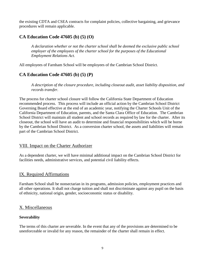the existing CDTA and CSEA contracts for complaint policies, collective bargaining, and grievance procedures will remain applicable.

# **CA Education Code 47605 (b) (5) (O)**

*A declaration whether or not the charter school shall be deemed the exclusive public school employer of the employees of the charter school for the purposes of the Educational Employment Relations Act.*

All employees of Farnham School will be employees of the Cambrian School District.

## **CA Education Code 47605 (b) (5) (P)**

*A description of the closure procedure, including closeout audit, asset liability disposition, and records transfer.*

The process for charter school closure will follow the California State Department of Education recommended process. This process will include an official action by the Cambrian School District Governing Board effective at the end of an academic year, notifying the Charter Schools Unit of the California Department of Education, parents, and the Santa Clara Office of Education. The Cambrian School District will maintain all student and school records as required by law for the charter. After its closeout, the school will have an audit to determine and financial responsibilities which will be borne by the Cambrian School District. As a conversion charter school, the assets and liabilities will remain part of the Cambrian School District.

## VIII. Impact on the Charter Authorizer

As a dependent charter, we will have minimal additional impact on the Cambrian School District for facilities needs, administrative services, and potential civil liability effects.

## IX. Required Affirmations

Farnham School shall be nonsectarian in its programs, admission policies, employment practices and all other operations. It shall not charge tuition and shall not discriminate against any pupil on the basis of ethnicity, national origin, gender, socioeconomic status or disability.

## X. Miscellaneous

#### **Severability**

The terms of this charter are severable. In the event that any of the provisions are determined to be unenforceable or invalid for any reason, the remainder of the charter shall remain in effect.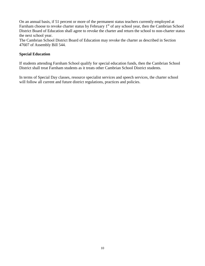On an annual basis, if 51 percent or more of the permanent status teachers currently employed at Farnham choose to revoke charter status by February 1<sup>st</sup> of any school year, then the Cambrian School District Board of Education shall agree to revoke the charter and return the school to non-charter status the next school year.

The Cambrian School District Board of Education may revoke the charter as described in Section 47607 of Assembly Bill 544.

#### **Special Education**

If students attending Farnham School qualify for special education funds, then the Cambrian School District shall treat Farnham students as it treats other Cambrian School District students.

In terms of Special Day classes, resource specialist services and speech services, the charter school will follow all current and future district regulations, practices and policies.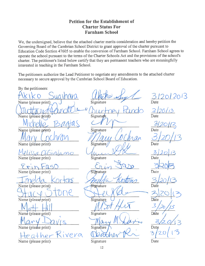## **Petition for the Establishment of Charter Status For Farnham School**

We, the undersigned, believe that the attached charter merits consideration and hereby petition the Governing Board of the Cambrian School District to grant approval of the charter pursuant to Education Code Section 47605 to enable the conversion of Farnham School. Farnham School agrees to operate the school pursuant to the terms of the Charter Schools Act and the provisions of the school's charter. The petitioner's listed below certify that they are permanent teachers who are meaningfully interested in teaching in the Farnham School.

The petitioners authorize the Lead Petitioner to negotiate any amendments to the attached charter necessary to secure approval by the Cambrian School Board of Education.

By the petitioners: 12012013 Name (please print) Signature 20. Name (please print) Signature Name (please print) Signature Date Name (please print) Signature/ Date Melissa DiGiolano Name (please print) Signature Date  $minF15$ Name (please print) Signature Date Signature Name (please print) Date Name (please print) Signature Date Name (please print) Signature Date Name (please print) Signature Date Livera Name (please print) Signature Date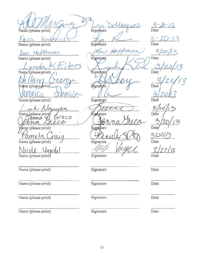DeMarquez  $\frac{3-20-13}{\text{Date}}$  $SA$ Name (please print) Signature Signature Name (please print) Date man 3 Lori Hoffman  $780$ Name (please print) Signature Date , lers Name (please print) Signature Date C0 Signature Name (please print) Date Signature Name (please print) Date amira Signature Date Name (please print) Greco enna 4  $\varrho$ Mame (please print) Signature amela Name (please print) Signature Name (please print) Signature Date Name (please print) Signature Date Name (please print) Signature Date Name (please print) Signature  $\overline{Date}$ Name (please print) Signature Date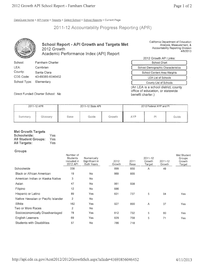DataQuest home > API home > Reports > Select School > School Reports > Current Page

2011-12 Accountability Progress Reporting (APR)



### **School Report - API Growth and Targets Met** 2012 Growth Academic Performance Index (API) Report

California Department of Education Analysis, Measurement, & Accountability Reporting Division 4/8/2013

| School:      | <b>Farnham Charter</b> |
|--------------|------------------------|
| LEA:         | Cambrian               |
| County:      | Santa Clara            |
| CDS Code:    | 43-69385-6046452       |
| School Type: | Elementary             |

| 2012 Growth API Links:             |
|------------------------------------|
| School Chart                       |
| School Demographic Characteristics |
| <b>School Content Area Weights</b> |
| <b>LEA List of Schools</b>         |
| <b>County List of Schools</b>      |

(An LEA is a school district, county office of education, or statewide benefit charter.)

Direct Funded Charter School: No

| 2011-12 APR |          |             | 2011-12 State API |        | 2012 Federal AYP and PI |                |       |
|-------------|----------|-------------|-------------------|--------|-------------------------|----------------|-------|
| Summary     | Glossary | <b>Base</b> | Guide             | Growth | AYP                     | P <sub>1</sub> | Guide |

#### **Met Growth Targets**

| Schoolwide:                | Yes |
|----------------------------|-----|
| <b>All Student Groups:</b> | Yes |
| <b>All Targets:</b>        | Yes |

#### **Groups**

|                                     | Number of<br><b>Students</b><br>Included in<br>2012 API | Numerically<br>Significant in<br><b>Both Years</b> | 2012<br>Growth | 2011<br>Base | 2011-12<br>Growth<br>Target | 2011-12<br>Growth | Met Student<br>Groups<br>Growth<br>Target |
|-------------------------------------|---------------------------------------------------------|----------------------------------------------------|----------------|--------------|-----------------------------|-------------------|-------------------------------------------|
| Schoolwide                          | 338                                                     |                                                    | 899            | 850          | Α                           | 49                |                                           |
| <b>Black or African American</b>    | 19                                                      | No.                                                | 869            | 855          |                             |                   |                                           |
| American Indian or Alaska Native    | 3                                                       | No.                                                |                |              |                             |                   |                                           |
| Asian                               | 47                                                      | No.                                                | 961            | 938          |                             |                   |                                           |
| Filipino                            | 12                                                      | No.                                                | 886            |              |                             |                   |                                           |
| Hispanic or Latino                  | 89                                                      | Yes                                                | 831            | 737          | 5                           | 94                | Yes                                       |
| Native Hawaiian or Pacific Islander | 2                                                       | No.                                                |                |              |                             |                   |                                           |
| White                               | 162                                                     | Yes                                                | 927            | 890          | A                           | 37                | <b>Yes</b>                                |
| Two or More Races                   | $\overline{2}$                                          | No.                                                |                |              |                             |                   |                                           |
| Socioeconomically Disadvantaged     | 78                                                      | Yes                                                | 812            | 732          | 5                           | 80                | <b>Yes</b>                                |
| English Learners                    | 69                                                      | <b>Yes</b>                                         | 829            | 758          | 5                           | 71                | Yes                                       |
| <b>Students with Disabilities</b>   | 57                                                      | No                                                 | 786            | 718          |                             |                   |                                           |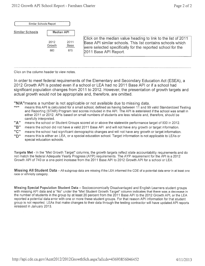| Similar Schools Report |                       |                            |                                                                                                                                                                                                                    |
|------------------------|-----------------------|----------------------------|--------------------------------------------------------------------------------------------------------------------------------------------------------------------------------------------------------------------|
| Similar Schools        | <b>Median API</b>     |                            |                                                                                                                                                                                                                    |
|                        | 2012<br>Growth<br>883 | 2011<br><b>Base</b><br>875 | Click on the median value heading to link to the list of 2011<br>Base API similar schools. This list contains schools which<br>were selected specifically for the reported school for the<br>2011 Base API Report. |

Click on the column header to view notes.

In order to meet federal requirements of the Elementary and Secondary Education Act (ESEA), a 2012 Growth API is posted even if a school or LEA had no 2011 Base API or if a school had significant population changes from 2011 to 2012. However, the presentation of growth targets and actual growth would not be appropriate and, therefore, are omitted.

"N/A" means a number is not applicable or not available due to missing data.

- ngn means this API is calculated for a small school, defined as having between 11 and 99 valid Standardized Testing and Reporting (STAR) Program test scores included in the API. The API is asterisked if the school was small in either 2011 or 2012. APIs based on small numbers of students are less reliable and, therefore, should be carefully interpreted.
- "А" means the school or Student Groups scored at or above the statewide performance target of 800 in 2012.
- "B" means the school did not have a valid 2011 Base API and will not have any growth or target information.
- "C" means the school had significant demographic changes and will not have any growth or target information.
- "D" means this is either an LEA, or a special education school. Target information is not applicable to LEAs or special education schools.

Targets Met - In the "Met Growth Target" columns, the growth targets reflect state accountability requirements and do not match the federal Adequate Yearly Progress (AYP) requirements. The AYP requirement for the API is a 2012 Growth API of 740 or a one-point increase from the 2011 Base API to 2012 Growth API for a school or LEA.

Missing All Student Data - All subgroup data are missing if the LEA informed the CDE of a potential data error in at least one race or ethnicity category.

Missing Special Population Student Data - Socioeconomically Disadvantaged and English Learners student groups with missing API data and a "No" under the "Met Student Growth Target" column indicates that there was a decrease in the number of students in the group by at least 20 percent from the 2011 Base API to the 2012 Growth API, or the LEA reported a potential data error with one or more these student groups. For that reason API information for that student group is not reported. LEAs that make changes to their data through the testing contractor will have updated API reports released in January 2013.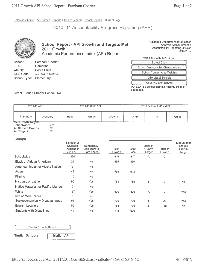DataQuest home > API home > Reports > Select School > School Reports > Current Page

2010 -11 Accountability Progress Reporting (APR)



LEA:

County:

CDS Code:

School Type:

**School Report - API Growth and Targets Met** 2011 Growth Academic Performance Index (API) Report

California Department of Education Analysis, Measurement & Accountability Reporting Division 8/13/2012

2011 Growth API Links:

| School Chart                       |
|------------------------------------|
| School Demographic Characteristics |
| <b>School Content Area Weights</b> |
| <b>LEA List of Schools</b>         |
| <b>County List of Schools</b>      |

(An LEA is a school district or county office of education.)

Direct Funded Charter School: No

Cambrian

Santa Clara

Elementary

43-69385-6046452

|                                          | 2010-11 APR |             | 2010-11 State API |        | 2011 Federal AYP and PI |    |       |  |
|------------------------------------------|-------------|-------------|-------------------|--------|-------------------------|----|-------|--|
| Summary                                  | Glossary    | <b>Base</b> | Guide             | Growth | <b>AYP</b>              | PI | Guide |  |
| <b>Wet Growth Targets</b><br>Schoolwide: | Yes         |             |                   |        |                         |    |       |  |
| All Student Groups:                      | No          |             |                   |        |                         |    |       |  |
| All Targets:                             | No          |             |                   |        |                         |    |       |  |

Groups

|                                     | Number of<br><b>Students</b><br>Included in<br>2011 API | Numerically<br>Significant in<br><b>Both Years</b> | 2011<br>Growth | 2010<br>Base | 2010-11<br>Growth<br>Target | 2010-11<br>Growth | Met Student<br>Groups<br>Growth<br>Target |
|-------------------------------------|---------------------------------------------------------|----------------------------------------------------|----------------|--------------|-----------------------------|-------------------|-------------------------------------------|
| Schoolwide                          | 330                                                     |                                                    | 849            | 847          | $\overline{A}$              | $\overline{2}$    |                                           |
| <b>Black or African American</b>    | 21                                                      | No                                                 | 855            | 830          |                             |                   |                                           |
| American Indian or Alaska Native    | 3                                                       | No                                                 |                |              |                             |                   |                                           |
| Asian                               | 43                                                      | No                                                 | 938            | 913          |                             |                   |                                           |
| Filipino                            | 10                                                      | No                                                 |                |              |                             |                   |                                           |
| Hispanic or Latino                  | 90                                                      | Yes                                                | 734            | 755          | 5                           | $-21$             | <b>No</b>                                 |
| Native Hawaiian or Pacific Islander | $\overline{2}$                                          | No                                                 |                |              |                             |                   |                                           |
| White                               | 157                                                     | <b>Yes</b>                                         | 890            | 890          | A                           | 0                 | Yes                                       |
| Two or More Races                   | 0                                                       | No                                                 |                |              |                             |                   |                                           |
| Socioeconomically Disadvantaged     | 91                                                      | <b>Yes</b>                                         | 729            | 706          | 5                           | 23                | <b>Yes</b>                                |
| <b>English Learners</b>             | 59                                                      | Yes                                                | 758            | 776          | 5                           | $-18$             | No                                        |
| <b>Students with Disabilities</b>   | 44                                                      | No                                                 | 718            | 690          |                             |                   |                                           |
|                                     |                                                         |                                                    |                |              |                             |                   |                                           |

Similar Schools Report

**Similar Schools** 

**Median API**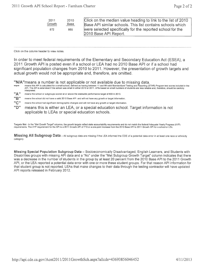| 2011   | 2010        | Click on the median value heading to link to the list of 2010 |
|--------|-------------|---------------------------------------------------------------|
| Growth | <u>Base</u> | Base API similar schools. This list contains schools which    |
| 872    | 869         | were selected specifically for the reported school for the    |
|        |             | 2010 Base API Report.                                         |

Click on the column header to view notes.

In order to meet federal requirements of the Elementary and Secondary Education Act (ESEA), a 2011 Growth API is posted even if a school or LEA had no 2010 Base API or if a school had significant population changes from 2010 to 2011. However, the presentation of growth targets and actual growth would not be appropriate and, therefore, are omitted.

"N/A" means a number is not applicable or not available due to missing data.

means this API is calculated for a small school, defined as having between 11 and 99 valid Standardized Testing and Reporting (STAR) Program test scores included in the<br>API. The API is asterisked if the school was small i 11,911 interpreted

- "А" means the school or subgroups scored at or above the statewide performance target of 800 in 2010.
- "B" means the school did not have a valid 2010 Base API and will not have any growth or target information.
- "C" means the school had significant demographic changes and will not have any growth or target information.
- "D" means this is either an LEA, or a special education school. Target information is not applicable to LEAs or special education schools.

Targets Met - In the "Met Growth Target" columns, the growth targets reflect state accountability requirements and do not match the federal Adequate Yearly Progress (AYP) requirements. The AYP requirement for the API is a 2011 Growth API of 710 or a one-point increase from the 2010 Base API to 2011 Growth API for a school or LEA.

Missing All Subgroup Data - All subgroup data are missing if the LEA informed the CDE of a potential data error in at least one race or ethnicity category

Missing Special Population Subgroup Data - Socioeconomically Disadvantaged, English Learners, and Students with Disabilities groups with missing API data and a "No" under the "Met Subgroup Growth Target" column indicates that there was a decrease in the number of students in the group by at least 20 percent from the 2010 Base API to the 2011 Growth API, or the LEA reported a potential data error with one or more these student groups. For that reason API information for that student group is not reported. LEAs that make changes to their data through the testing contractor will have updated API reports released in February 2012.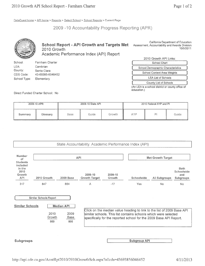DataQuest home > API home > Reports > Select School > School Reports > Current Page

2009 -10 Accountability Progress Reporting (APR)



School Content Area Weights **LEA List of Schools** County List of Schools

(An LEA is a school district or county office of education.)

Direct Funded Charter School: No

43-69385-6046452

Elementary

CDS Code:

School Type:

|         | 2009-10 APR |             | 2009-10 State API |        | 2010 Federal AYP and PI |       |       |
|---------|-------------|-------------|-------------------|--------|-------------------------|-------|-------|
| Summary | Glossary    | <b>Base</b> | Guide             | Growth | AYP                     | $***$ | Guide |

#### State Accountability: Academic Performance Index (API)

| <b>Number</b><br>of<br><b>Students</b><br>included<br>in the<br>2010<br>Growth<br><b>API</b> |                                                                                             |                  | <b>API</b>                                                                                                                                                                                                      | <b>Met Growth Target</b> |                     |                      |                                               |  |
|----------------------------------------------------------------------------------------------|---------------------------------------------------------------------------------------------|------------------|-----------------------------------------------------------------------------------------------------------------------------------------------------------------------------------------------------------------|--------------------------|---------------------|----------------------|-----------------------------------------------|--|
|                                                                                              | 2010 Growth                                                                                 | <b>2009 Base</b> | 2009-10<br><b>Growth Target</b>                                                                                                                                                                                 | 2009-10<br>Growth        | <b>Schoolwide</b>   | <b>All Subgroups</b> | <b>Both</b><br>Schoolwide<br>and<br>Subgroups |  |
| 317                                                                                          | 847                                                                                         | 864              | A                                                                                                                                                                                                               | $-17$                    | Yes                 | <b>No</b>            | No.                                           |  |
| <b>Similar Schools</b>                                                                       | Similar Schools Report<br><b>Median API</b><br>2010<br>2009<br>Growth<br>Base<br>866<br>869 |                  | Click on the median value heading to link to the list of 2009 Base API<br>similar schools. This list contains schools which were selected<br>specifically for the reported school for the 2009 Base API Report. |                          |                     |                      |                                               |  |
| <b>Subgroups</b>                                                                             |                                                                                             |                  |                                                                                                                                                                                                                 |                          | <b>Subgroup API</b> |                      |                                               |  |